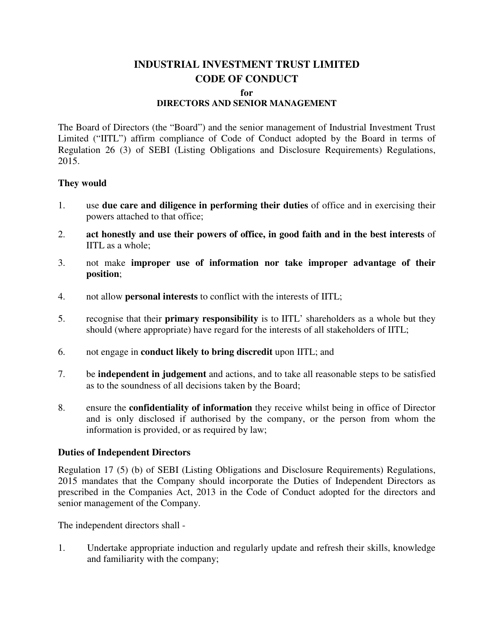# **INDUSTRIAL INVESTMENT TRUST LIMITED CODE OF CONDUCT**

#### **for**

## **DIRECTORS AND SENIOR MANAGEMENT**

The Board of Directors (the "Board") and the senior management of Industrial Investment Trust Limited ("IITL") affirm compliance of Code of Conduct adopted by the Board in terms of Regulation 26 (3) of SEBI (Listing Obligations and Disclosure Requirements) Regulations, 2015.

#### **They would**

- 1. use **due care and diligence in performing their duties** of office and in exercising their powers attached to that office;
- 2. **act honestly and use their powers of office, in good faith and in the best interests** of IITL as a whole;
- 3. not make **improper use of information nor take improper advantage of their position**;
- 4. not allow **personal interests** to conflict with the interests of IITL;
- 5. recognise that their **primary responsibility** is to IITL' shareholders as a whole but they should (where appropriate) have regard for the interests of all stakeholders of IITL;
- 6. not engage in **conduct likely to bring discredit** upon IITL; and
- 7. be **independent in judgement** and actions, and to take all reasonable steps to be satisfied as to the soundness of all decisions taken by the Board;
- 8. ensure the **confidentiality of information** they receive whilst being in office of Director and is only disclosed if authorised by the company, or the person from whom the information is provided, or as required by law;

### **Duties of Independent Directors**

Regulation 17 (5) (b) of SEBI (Listing Obligations and Disclosure Requirements) Regulations, 2015 mandates that the Company should incorporate the Duties of Independent Directors as prescribed in the Companies Act, 2013 in the Code of Conduct adopted for the directors and senior management of the Company.

The independent directors shall -

1. Undertake appropriate induction and regularly update and refresh their skills, knowledge and familiarity with the company;